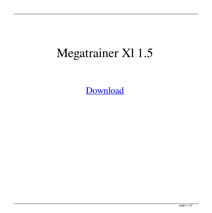## Megatrainer Xl 1.5

[Download](http://evacdir.com/bWVnYXRyYWluZXIgeGwgMS41bWV/?automated=ZG93bmxvYWR8Y1Y2WlhvemJYeDhNVFkxTlRnME1qazRNWHg4TWpVM05IeDhLRTBwSUhKbFlXUXRZbXh2WnlCYlJtRnpkQ0JIUlU1ZA.wqyne=idtabije=decapitated)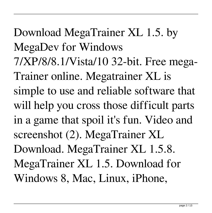Download MegaTrainer XL 1.5. by MegaDev for Windows 7/XP/8/8.1/Vista/10 32-bit. Free mega-Trainer online. Megatrainer XL is simple to use and reliable software that will help you cross those difficult parts in a game that spoil it's fun. Video and screenshot (2). MegaTrainer XL Download. MegaTrainer XL 1.5.8. MegaTrainer XL 1.5. Download for Windows 8, Mac, Linux, iPhone,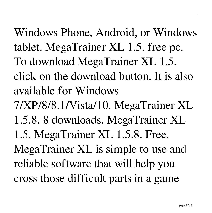Windows Phone, Android, or Windows tablet. MegaTrainer XL 1.5. free pc. To download MegaTrainer XL 1.5, click on the download button. It is also available for Windows 7/XP/8/8.1/Vista/10. MegaTrainer XL 1.5.8. 8 downloads. MegaTrainer XL 1.5. MegaTrainer XL 1.5.8. Free. MegaTrainer XL is simple to use and reliable software that will help you cross those difficult parts in a game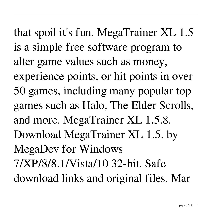that spoil it's fun. MegaTrainer XL 1.5 is a simple free software program to alter game values such as money, experience points, or hit points in over 50 games, including many popular top games such as Halo, The Elder Scrolls, and more. MegaTrainer XL 1.5.8. Download MegaTrainer XL 1.5. by MegaDev for Windows 7/XP/8/8.1/Vista/10 32-bit. Safe download links and original files. Mar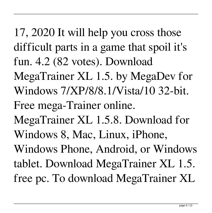17, 2020 It will help you cross those difficult parts in a game that spoil it's fun. 4.2 (82 votes). Download MegaTrainer XL 1.5. by MegaDev for

Windows 7/XP/8/8.1/Vista/10 32-bit.

Free mega-Trainer online.

MegaTrainer XL 1.5.8. Download for

Windows 8, Mac, Linux, iPhone,

Windows Phone, Android, or Windows tablet. Download MegaTrainer XL 1.5. free pc. To download MegaTrainer XL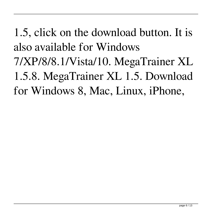1.5, click on the download button. It is also available for Windows 7/XP/8/8.1/Vista/10. MegaTrainer XL 1.5.8. MegaTrainer XL 1.5. Download for Windows 8, Mac, Linux, iPhone,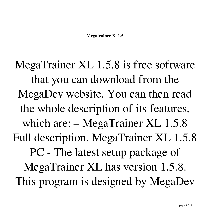MegaTrainer XL 1.5.8 is free software that you can download from the MegaDev website. You can then read the whole description of its features, which are: – MegaTrainer XL 1.5.8 Full description. MegaTrainer XL 1.5.8 PC - The latest setup package of MegaTrainer XL has version 1.5.8. This program is designed by MegaDev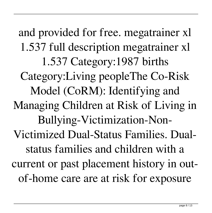and provided for free. megatrainer xl 1.537 full description megatrainer xl 1.537 Category:1987 births Category:Living peopleThe Co-Risk Model (CoRM): Identifying and Managing Children at Risk of Living in Bullying-Victimization-Non-Victimized Dual-Status Families. Dualstatus families and children with a current or past placement history in outof-home care are at risk for exposure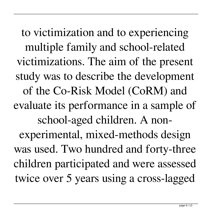to victimization and to experiencing multiple family and school-related victimizations. The aim of the present study was to describe the development of the Co-Risk Model (CoRM) and evaluate its performance in a sample of school-aged children. A nonexperimental, mixed-methods design was used. Two hundred and forty-three children participated and were assessed twice over 5 years using a cross-lagged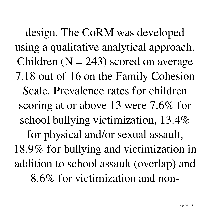design. The CoRM was developed using a qualitative analytical approach. Children ( $N = 243$ ) scored on average 7.18 out of 16 on the Family Cohesion Scale. Prevalence rates for children scoring at or above 13 were 7.6% for school bullying victimization, 13.4% for physical and/or sexual assault, 18.9% for bullying and victimization in addition to school assault (overlap) and 8.6% for victimization and non-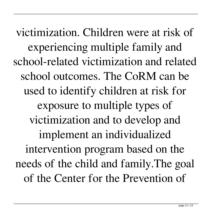victimization. Children were at risk of experiencing multiple family and school-related victimization and related school outcomes. The CoRM can be used to identify children at risk for exposure to multiple types of victimization and to develop and implement an individualized intervention program based on the needs of the child and family.The goal of the Center for the Prevention of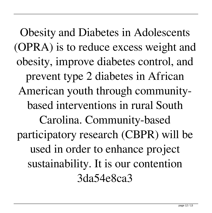Obesity and Diabetes in Adolescents (OPRA) is to reduce excess weight and obesity, improve diabetes control, and prevent type 2 diabetes in African American youth through communitybased interventions in rural South Carolina. Community-based participatory research (CBPR) will be used in order to enhance project sustainability. It is our contention 3da54e8ca3